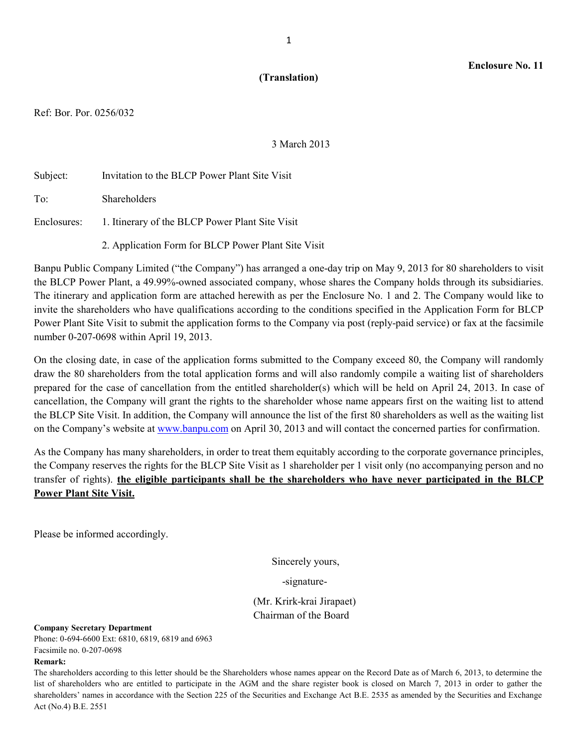### **(Translation)**

Ref: Bor. Por. 0256/032

3 March 2013

| Subject: | Invitation to the BLCP Power Plant Site Visit               |
|----------|-------------------------------------------------------------|
| To:      | <b>Shareholders</b>                                         |
|          | Enclosures: 1. Itinerary of the BLCP Power Plant Site Visit |
|          | 2. Application Form for BLCP Power Plant Site Visit         |

Banpu Public Company Limited ("the Company") has arranged a one-day trip on May 9, 2013 for 80 shareholders to visit the BLCP Power Plant, a 49.99%-owned associated company, whose shares the Company holds through its subsidiaries. The itinerary and application form are attached herewith as per the Enclosure No. 1 and 2. The Company would like to invite the shareholders who have qualifications according to the conditions specified in the Application Form for BLCP Power Plant Site Visit to submit the application forms to the Company via post (reply-paid service) or fax at the facsimile number 0-207-0698 within April 19, 2013.

On the closing date, in case of the application forms submitted to the Company exceed 80, the Company will randomly draw the 80 shareholders from the total application forms and will also randomly compile a waiting list of shareholders prepared for the case of cancellation from the entitled shareholder(s) which will be held on April 24, 2013. In case of cancellation, the Company will grant the rights to the shareholder whose name appears first on the waiting list to attend the BLCP Site Visit. In addition, the Company will announce the list of the first 80 shareholders as well as the waiting list on the Company's website at www.banpu.com on April 30, 2013 and will contact the concerned parties for confirmation.

As the Company has many shareholders, in order to treat them equitably according to the corporate governance principles, the Company reserves the rights for the BLCP Site Visit as 1 shareholder per 1 visit only (no accompanying person and no transfer of rights). **the eligible participants shall be the shareholders who have never participated in the BLCP Power Plant Site Visit.**

Please be informed accordingly.

Sincerely yours,

-signature-

 (Mr. Krirk-krai Jirapaet) Chairman of the Board

**Company Secretary Department** 

Phone: 0-694-6600 Ext: 6810, 6819, 6819 and 6963 Facsimile no. 0-207-0698

#### **Remark:**

The shareholders according to this letter should be the Shareholders whose names appear on the Record Date as of March 6, 2013, to determine the list of shareholders who are entitled to participate in the AGM and the share register book is closed on March 7, 2013 in order to gather the shareholders' names in accordance with the Section 225 of the Securities and Exchange Act B.E. 2535 as amended by the Securities and Exchange Act (No.4) B.E. 2551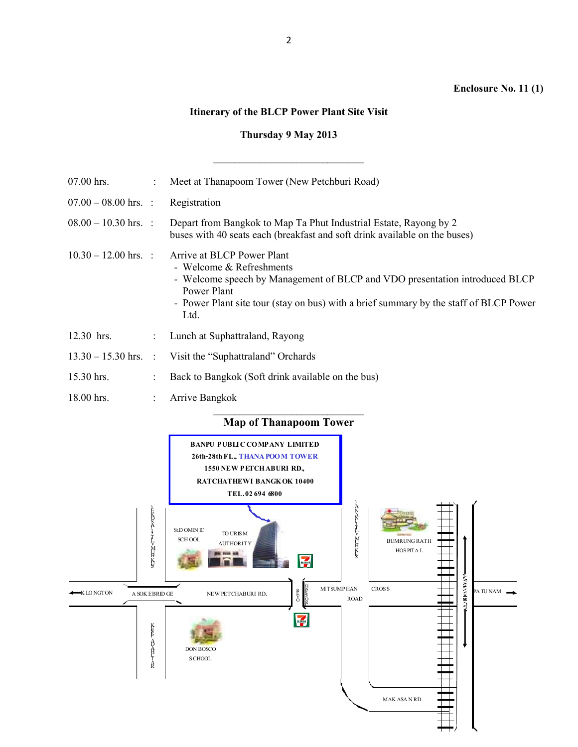## **Enclosure No. 11 (1)**

# **Itinerary of the BLCP Power Plant Site Visit**

# **Thursday 9 May 2013**

| 07.00 hrs.             | ÷                         | Meet at Thanapoom Tower (New Petchburi Road)                                                                                                                                                                                                          |
|------------------------|---------------------------|-------------------------------------------------------------------------------------------------------------------------------------------------------------------------------------------------------------------------------------------------------|
| $07.00 - 08.00$ hrs. : |                           | Registration                                                                                                                                                                                                                                          |
| $08.00 - 10.30$ hrs. : |                           | Depart from Bangkok to Map Ta Phut Industrial Estate, Rayong by 2<br>buses with 40 seats each (breakfast and soft drink available on the buses)                                                                                                       |
| $10.30 - 12.00$ hrs. : |                           | Arrive at BLCP Power Plant<br>- Welcome & Refreshments<br>- Welcome speech by Management of BLCP and VDO presentation introduced BLCP<br>Power Plant<br>- Power Plant site tour (stay on bus) with a brief summary by the staff of BLCP Power<br>Ltd. |
| 12.30 hrs.             | $\mathbb{R}^{\mathbb{Z}}$ | Lunch at Suphattraland, Rayong                                                                                                                                                                                                                        |
| $13.30 - 15.30$ hrs. : |                           | Visit the "Suphattraland" Orchards                                                                                                                                                                                                                    |
| 15.30 hrs.             |                           | Back to Bangkok (Soft drink available on the bus)                                                                                                                                                                                                     |
| 18.00 hrs.             |                           | Arrive Bangkok                                                                                                                                                                                                                                        |